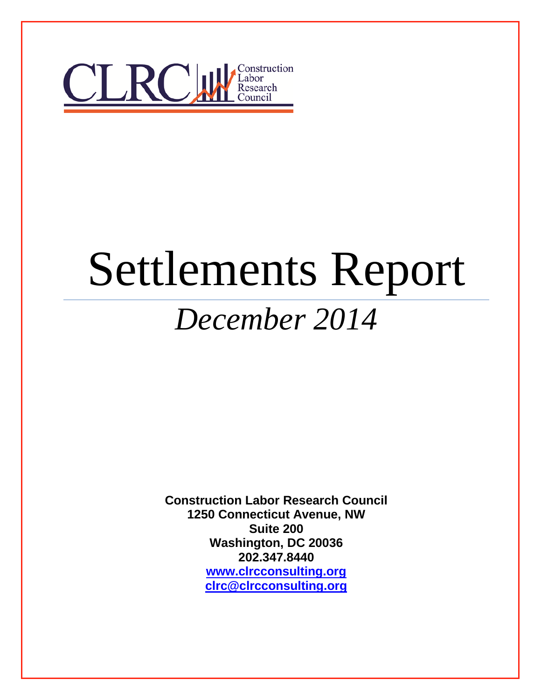

# Settlements Report *December 2014*

**Construction Labor Research Council 1250 Connecticut Avenue, NW Suite 200 Washington, DC 20036 202.347.8440 [www.clrcconsulting.org](http://www.clrcconsulting.org/) [clrc@clrcconsulting.org](mailto:clrc@clrcconsulting.org)**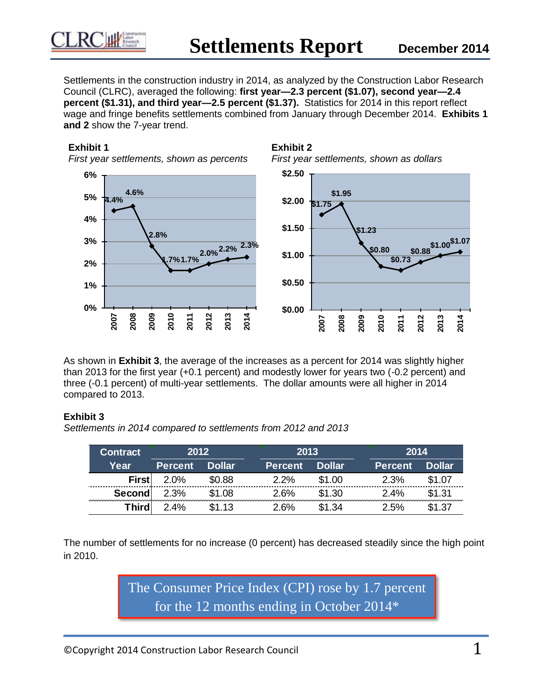

Settlements in the construction industry in 2014, as analyzed by the Construction Labor Research Council (CLRC), averaged the following: **first year—2.3 percent (\$1.07), second year—2.4 percent (\$1.31), and third year—2.5 percent (\$1.37).** Statistics for 2014 in this report reflect wage and fringe benefits settlements combined from January through December 2014. **Exhibits 1 and 2** show the 7-year trend.

#### **Exhibit 1**

*First year settlements, shown as percents*







As shown in **Exhibit 3**, the average of the increases as a percent for 2014 was slightly higher than 2013 for the first year (+0.1 percent) and modestly lower for years two (-0.2 percent) and three (-0.1 percent) of multi-year settlements. The dollar amounts were all higher in 2014 compared to 2013.

#### **Exhibit 3**

*Settlements in 2014 compared to settlements from 2012 and 2013*

| <b>Contract</b> | 2012           |               |  | 2013           |               | 2014 |                |               |
|-----------------|----------------|---------------|--|----------------|---------------|------|----------------|---------------|
| Year            | <b>Percent</b> | <b>Dollar</b> |  | <b>Percent</b> | <b>Dollar</b> |      | <b>Percent</b> | <b>Dollar</b> |
| First           | 2.0%           | \$0.88        |  | 2.2%           | \$1.00        |      | 2.3%           | \$1.07        |
| Second          | 2.3%           | \$1.08        |  | 2.6%           | \$1.30        |      | 2.4%           | \$1.31        |
| <b>Third</b>    | $2.4\%$        | \$1.13        |  | 2 6%           | ነ1 34         |      | 2.5%           | <b>ዩ1 37</b>  |

The number of settlements for no increase (0 percent) has decreased steadily since the high point in 2010.

> The Consumer Price Index (CPI) rose by 1.7 percent for the 12 months ending in October 2014\*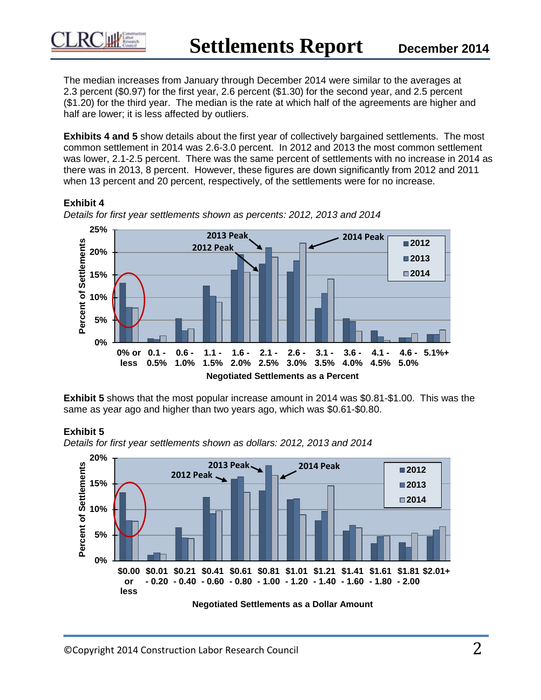The median increases from January through December 2014 were similar to the averages at 2.3 percent (\$0.97) for the first year, 2.6 percent (\$1.30) for the second year, and 2.5 percent (\$1.20) for the third year. The median is the rate at which half of the agreements are higher and half are lower; it is less affected by outliers.

**Exhibits 4 and 5** show details about the first year of collectively bargained settlements. The most common settlement in 2014 was 2.6-3.0 percent. In 2012 and 2013 the most common settlement was lower, 2.1-2.5 percent. There was the same percent of settlements with no increase in 2014 as there was in 2013, 8 percent. However, these figures are down significantly from 2012 and 2011 when 13 percent and 20 percent, respectively, of the settlements were for no increase.

## **Exhibit 4**



*Details for first year settlements shown as percents: 2012, 2013 and 2014*

**Exhibit 5** shows that the most popular increase amount in 2014 was \$0.81-\$1.00. This was the same as year ago and higher than two years ago, which was \$0.61-\$0.80.

## **Exhibit 5**



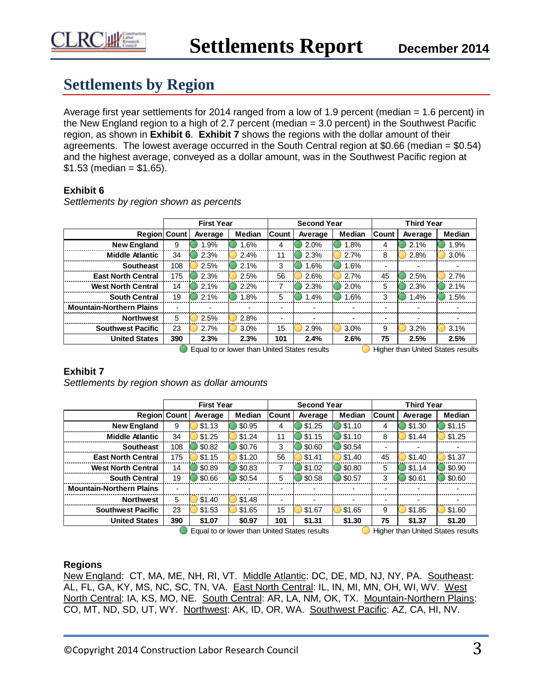

# **Settlements by Region**

Average first year settlements for 2014 ranged from a low of 1.9 percent (median = 1.6 percent) in the New England region to a high of 2.7 percent (median = 3.0 percent) in the Southwest Pacific region, as shown in **Exhibit 6**. **Exhibit 7** shows the regions with the dollar amount of their agreements. The lowest average occurred in the South Central region at \$0.66 (median = \$0.54) and the highest average, conveyed as a dollar amount, was in the Southwest Pacific region at  $$1.53$  (median =  $$1.65$ ).

#### **Exhibit 6**

|                                              |     | <b>First Year</b> |                          |              | <b>Second Year</b> |        | <b>Third Year</b> |         |                                          |
|----------------------------------------------|-----|-------------------|--------------------------|--------------|--------------------|--------|-------------------|---------|------------------------------------------|
| <b>Region Count</b>                          |     | Average           | Median                   | <b>Count</b> | Average            | Median | <b>Count</b>      | Average | Median                                   |
| <b>New England</b>                           | 9   | 1.9%              | 1.6%                     | 4            | 2.0%               | 1.8%   | 4                 | 2.1%    | 1.9%                                     |
| <b>Middle Atlantic</b>                       | 34  | 2.3%              | 2.4%                     | 11           | 2.3%               | 2.7%   | 8                 | 2.8%    | 3.0%                                     |
| <b>Southeast</b>                             | 108 | 2.5%              | 2.1%                     | 3            | 1.6%               | 1.6%   |                   |         |                                          |
| <b>East North Central</b>                    | 175 | 2.3%              | 2.5%                     | 56           | 2.6%               | 2.7%   | 45                | 2.5%    | 2.7%                                     |
| <b>West North Central</b>                    | 14  | 2.1%              | 2.2%                     | 7            | 2.3%               | 2.0%   | 5                 | 2.3%    | 2.1%                                     |
| <b>South Central</b>                         | 19  | 2.1%              | 1.8%                     | 5            | 1.4%               | 1.6%   | 3                 | 1.4%    | 1.5%                                     |
| <b>Mountain-Northern Plains</b>              |     |                   | $\overline{\phantom{0}}$ |              |                    |        |                   |         |                                          |
| <b>Northwest</b>                             | 5   | 2.5%              | 2.8%                     |              |                    |        |                   |         |                                          |
| <b>Southwest Pacific</b>                     | 23  | 2.7%              | 3.0%                     | 15           | 2.9%               | 3.0%   | 9                 | 3.2%    | 3.1%                                     |
| <b>United States</b>                         | 390 | 2.3%              | 2.3%                     | 101          | 2.4%               | 2.6%   | 75                | 2.5%    | 2.5%                                     |
| Equal to or lower than United States results |     |                   |                          |              |                    |        |                   |         | <b>Higher than United States results</b> |

*Settlements by region shown as percents*

#### **Exhibit 7**

*Settlements by region shown as dollar amounts*

|                                 |     | <b>First Year</b>        |        |       | <b>Second Year</b>       |                          | <b>Third Year</b>        |         |                          |
|---------------------------------|-----|--------------------------|--------|-------|--------------------------|--------------------------|--------------------------|---------|--------------------------|
| Region Count                    |     | Average                  | Median | Count | Average                  | <b>Median</b>            | Count                    | Average | Median                   |
| <b>New England</b>              | 9   | \$1.13                   | \$0.95 | 4     | \$1.25                   | \$1.10                   | 4                        | \$1.30  | \$1.15                   |
| <b>Middle Atlantic</b>          | 34  | \$1.25                   | \$1.24 | 11    | \$1.15                   | \$1.10                   | 8                        | \$1.44  | \$1.25                   |
| <b>Southeast</b>                | 108 | \$0.82                   | \$0.76 | 3     | \$0.60                   | \$0.54                   | $\overline{\phantom{0}}$ |         | $\overline{\phantom{0}}$ |
| <b>East North Central</b>       | 175 | \$1.15                   | \$1.20 | 56    | \$1.41                   | \$1.40                   | 45                       | \$1.40  | \$1.37                   |
| <b>West North Central</b>       | 14  | \$0.89                   | \$0.83 |       | \$1.02                   | \$0.80                   | 5                        | \$1.14  | \$0.90                   |
| <b>South Central</b>            | 19  | \$0.66                   | \$0.54 | 5     | \$0.58                   | \$0.57                   | 3                        | \$0.61  | \$0.60                   |
| <b>Mountain-Northern Plains</b> |     | $\overline{\phantom{0}}$ |        |       |                          | $\overline{\phantom{0}}$ | $\overline{\phantom{0}}$ |         | $\overline{\phantom{0}}$ |
| <b>Northwest</b>                | 5   | \$1.40                   | \$1.48 |       | $\overline{\phantom{0}}$ | $\blacksquare$           | -                        |         | ۰                        |
| <b>Southwest Pacific</b>        | 23  | \$1.53                   | \$1.65 | 15    | \$1.67                   | \$1.65                   | 9                        | \$1.85  | \$1.60                   |
| <b>United States</b>            | 390 | \$1.07                   | \$0.97 | 101   | \$1.31                   | \$1.30                   | 75                       | \$1.37  | \$1.20                   |

 $\Box$  Equal to or lower than United States results  $\Box$  Higher than United States results

#### **Regions**

New England: CT, MA, ME, NH, RI, VT. Middle Atlantic: DC, DE, MD, NJ, NY, PA. Southeast: AL, FL, GA, KY, MS, NC, SC, TN, VA. East North Central: IL, IN, MI, MN, OH, WI, WV. West North Central: IA, KS, MO, NE. South Central: AR, LA, NM, OK, TX. Mountain-Northern Plains: CO, MT, ND, SD, UT, WY. Northwest: AK, ID, OR, WA. Southwest Pacific: AZ, CA, HI, NV.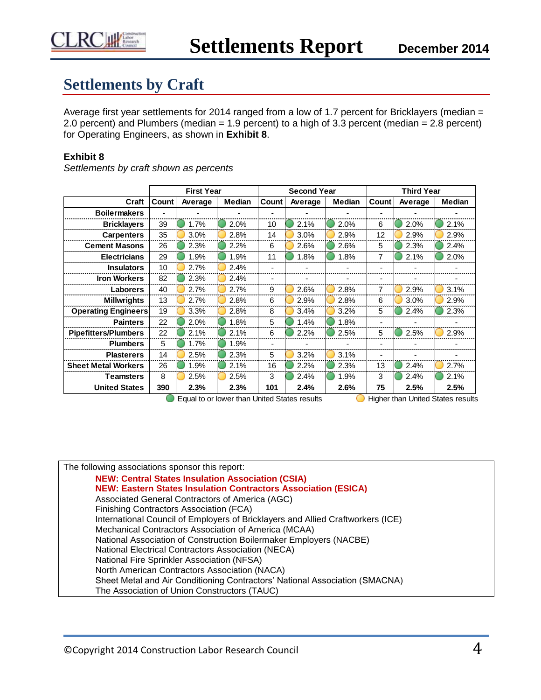

# **Settlements by Craft**

Average first year settlements for 2014 ranged from a low of 1.7 percent for Bricklayers (median = 2.0 percent) and Plumbers (median = 1.9 percent) to a high of 3.3 percent (median = 2.8 percent) for Operating Engineers, as shown in **Exhibit 8**.

## **Exhibit 8**

|                             | <b>First Year</b> |         |               | <b>Second Year</b> |         |               | <b>Third Year</b> |         |                |
|-----------------------------|-------------------|---------|---------------|--------------------|---------|---------------|-------------------|---------|----------------|
| Craft                       | Count             | Average | <b>Median</b> | Count              | Average | <b>Median</b> | Count             | Average | <b>Median</b>  |
| <b>Boilermakers</b>         |                   |         |               |                    |         |               |                   |         |                |
| <b>Bricklayers</b>          | 39                | 1.7%    | 2.0%          | 10                 | 2.1%    | 2.0%          | 6                 | 2.0%    | 2.1%           |
| <b>Carpenters</b>           | 35                | 3.0%    | 2.8%          | 14                 | 3.0%    | 2.9%          | 12                | 2.9%    | 2.9%           |
| <b>Cement Masons</b>        | 26                | 2.3%    | 2.2%          | 6                  | 2.6%    | 2.6%          | 5                 | 2.3%    | 2.4%           |
| <b>Electricians</b>         | 29                | 1.9%    | 1.9%          | 11                 | 1.8%    | 1.8%          | 7                 | 2.1%    | 2.0%           |
| <b>Insulators</b>           | 10                | 2.7%    | 2.4%          |                    |         |               |                   |         |                |
| <b>Iron Workers</b>         | 82                | 2.3%    | 2.4%          |                    |         |               |                   |         |                |
| <b>Laborers</b>             | 40                | 2.7%    | 2.7%          | 9                  | 2.6%    | 2.8%          | 7                 | 2.9%    | 3.1%           |
| <b>Millwrights</b>          | 13                | 2.7%    | 2.8%          | 6                  | 2.9%    | 2.8%          | 6                 | 3.0%    | 2.9%           |
| <b>Operating Engineers</b>  | 19                | 3.3%    | 2.8%          | 8                  | 3.4%    | 3.2%          | 5                 | 2.4%    | 2.3%           |
| <b>Painters</b>             | 22                | 2.0%    | 1.8%          | 5                  | 1.4%    | 1.8%          | ٠                 |         |                |
| <b>Pipefitters/Plumbers</b> | 22                | 2.1%    | 2.1%          | 6                  | 2.2%    | 2.5%          | 5                 | 2.5%    | 2.9%           |
| <b>Plumbers</b>             | 5                 | 1.7%    | 1.9%          |                    |         |               |                   |         |                |
| <b>Plasterers</b>           | 14                | 2.5%    | 2.3%          | 5                  | 3.2%    | 3.1%          | -                 |         |                |
| <b>Sheet Metal Workers</b>  | 26                | 1.9%    | 2.1%          | 16                 | 2.2%    | 2.3%          | 13                | 2.4%    | 2.7%           |
| Teamsters                   | 8                 | 2.5%    | 2.5%          | 3                  | 2.4%    | 1.9%          | 3                 | 2.4%    | 2.1%           |
| <b>United States</b>        | 390               | 2.3%    | 2.3%          | 101<br>$\sim$      | 2.4%    | 2.6%          | 75                | 2.5%    | 2.5%<br>$\sim$ |

*Settlements by craft shown as percents*

 $\blacksquare$  Equal to or lower than United States results  $\blacksquare$  Higher than United States results

| The following associations sponsor this report:                                 |
|---------------------------------------------------------------------------------|
| <b>NEW: Central States Insulation Association (CSIA)</b>                        |
| <b>NEW: Eastern States Insulation Contractors Association (ESICA)</b>           |
| Associated General Contractors of America (AGC)                                 |
| Finishing Contractors Association (FCA)                                         |
| International Council of Employers of Bricklayers and Allied Craftworkers (ICE) |
| Mechanical Contractors Association of America (MCAA)                            |
| National Association of Construction Boilermaker Employers (NACBE)              |
| National Electrical Contractors Association (NECA)                              |
| National Fire Sprinkler Association (NFSA)                                      |
| North American Contractors Association (NACA)                                   |
| Sheet Metal and Air Conditioning Contractors' National Association (SMACNA)     |
| The Association of Union Constructors (TAUC)                                    |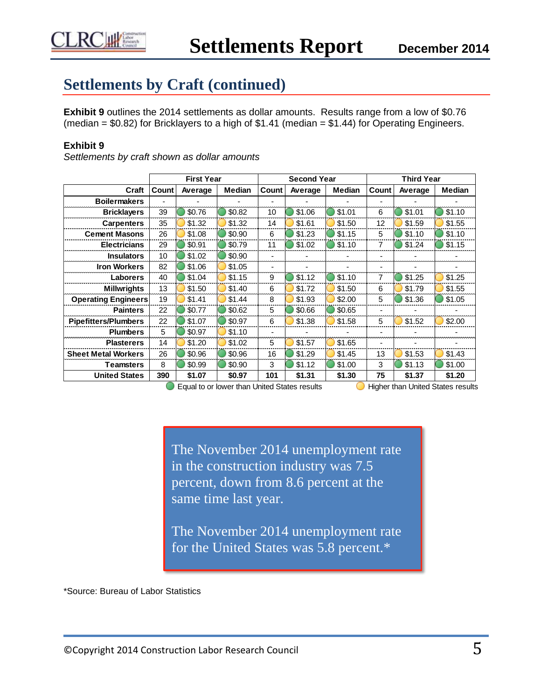# **Settlements by Craft (continued)**

**Exhibit 9** outlines the 2014 settlements as dollar amounts. Results range from a low of \$0.76 (median =  $$0.82$ ) for Bricklayers to a high of  $$1.41$  (median =  $$1.44$ ) for Operating Engineers.

# **Exhibit 9**

*Settlements by craft shown as dollar amounts*

|                             | <b>First Year</b> |         |               |       | <b>Second Year</b> |               | <b>Third Year</b> |         |               |
|-----------------------------|-------------------|---------|---------------|-------|--------------------|---------------|-------------------|---------|---------------|
| Craft                       | Count             | Average | <b>Median</b> | Count | Average            | <b>Median</b> | Count             | Average | <b>Median</b> |
| <b>Boilermakers</b>         |                   |         |               |       |                    |               | ٠                 |         |               |
| <b>Bricklayers</b>          | 39                | \$0.76  | \$0.82        | 10    | \$1.06             | \$1.01        | 6                 | \$1.01  | \$1.10        |
| <b>Carpenters</b>           | 35                | \$1.32  | \$1.32        | 14    | \$1.61             | \$1.50        | 12                | \$1.59  | \$1.55        |
| <b>Cement Masons</b>        | 26                | \$1.08  | \$0.90        | 6     | \$1.23             | \$1.15        | 5                 | \$1.10  | \$1.10        |
| <b>Electricians</b>         | 29                | \$0.91  | \$0.79        | 11    | \$1.02             | \$1.10        | 7                 | \$1.24  | \$1.15        |
| <b>Insulators</b>           | 10                | \$1.02  | \$0.90        |       |                    |               |                   |         |               |
| <b>Iron Workers</b>         | 82                | \$1.06  | \$1.05        |       |                    |               |                   |         |               |
| <b>Laborers</b>             | 40                | \$1.04  | \$1.15        | 9     | \$1.12             | \$1.10        | 7                 | \$1.25  | \$1.25        |
| <b>Millwrights</b>          | 13                | \$1.50  | \$1.40        | 6     | \$1.72             | \$1.50        | 6                 | \$1.79  | \$1.55        |
| <b>Operating Engineers</b>  | 19                | \$1.41  | \$1.44        | 8     | \$1.93             | \$2.00        | 5                 | \$1.36  | \$1.05        |
| <b>Painters</b>             | 22                | \$0.77  | \$0.62        | 5     | \$0.66             | \$0.65        | ٠                 |         |               |
| <b>Pipefitters/Plumbers</b> | 22                | \$1.07  | \$0.97        | 6     | \$1.38             | \$1.58        | 5                 | \$1.52  | \$2.00        |
| <b>Plumbers</b>             | 5                 | \$0.97  | \$1.10        |       |                    |               |                   |         |               |
| <b>Plasterers</b>           | 14                | \$1.20  | \$1.02        | 5     | \$1.57             | \$1.65        | ۰                 |         |               |
| <b>Sheet Metal Workers</b>  | 26                | \$0.96  | \$0.96        | 16    | \$1.29             | \$1.45        | 13                | \$1.53  | \$1.43        |
| Teamsters                   | 8                 | \$0.99  | \$0.90        | 3     | \$1.12             | \$1.00        | 3                 | \$1.13  | \$1.00        |
| <b>United States</b>        | 390               | \$1.07  | \$0.97        | 101   | \$1.31             | \$1.30        | 75                | \$1.37  | \$1.20        |

 $\bigcirc$  Equal to or lower than United States results  $\bigcirc$  Higher than United States results

The November 2014 unemployment rate in the construction industry was 7.5 percent, down from 8.6 percent at the same time last year.

The November 2014 unemployment rate for the United States was 5.8 percent.\*

\*Source: Bureau of Labor Statistics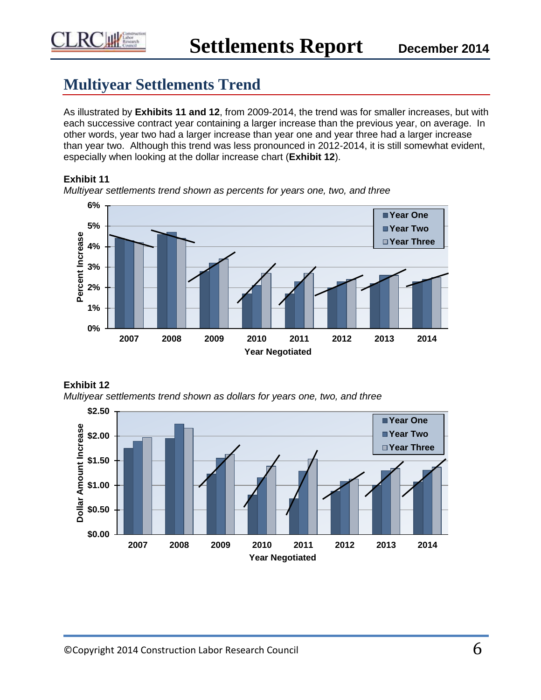

# **Multiyear Settlements Trend**

As illustrated by **Exhibits 11 and 12**, from 2009-2014, the trend was for smaller increases, but with each successive contract year containing a larger increase than the previous year, on average. In other words, year two had a larger increase than year one and year three had a larger increase than year two. Although this trend was less pronounced in 2012-2014, it is still somewhat evident, especially when looking at the dollar increase chart (**Exhibit 12**).

## **Exhibit 11**



*Multiyear settlements trend shown as percents for years one, two, and three*